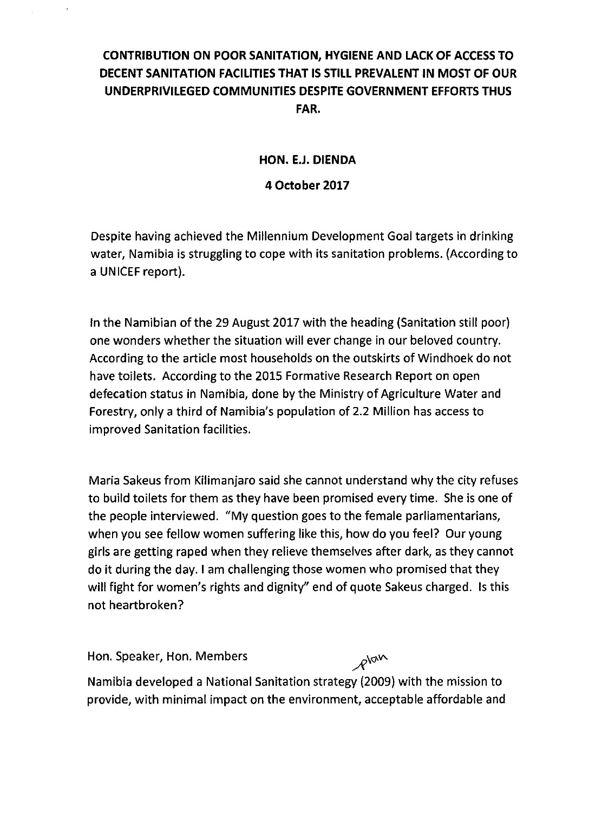## **CONTRIBUTION ON POOR SANITATION, HYGIENE AND LACK OF ACCESSTO DECENT SANITATION FACILITIES THAT IS STILL PREVALENT IN MOST OF OUR UNDERPRIVILEGED COMMUNITIES DESPITE GOVERNMENT EFFORTS THUS FAR.**

## **HON. E.J. DIENDA**

## **4 October 2017**

Despite having achieved the Millennium Development Goal targets in drinking water, Namibia is struggling to cope with its sanitation problems. (According to a UNICEF report).

In the Namibian of the 29 August 2017 with the heading (Sanitation still poor) one wonders whether the situation will ever change in our beloved country. According to the article most households on the outskirts of Windhoek do not have toilets. According to the 2015 Formative Research Report on open defecation status in Namibia, done by the Ministry of Agriculture Water and Forestry, only a third of Namibia's population of 2.2 Million has access to improved Sanitation facilities.

Maria Sakeus from Kilimanjaro said she cannot understand why the city refuses to build toilets for them as they have been promised every time. She is one of the people interviewed. "Mv question goes to the female parliamentarians, when you see fellow women suffering like this, how do you feel? Our young girls are getting raped when they relieve themselves after dark, as they cannot do it during the day. I am challenging those women who promised that they will fight for women's rights and dignity" end of quote Sakeus charged. Is this not heartbroken?

Hon. Speaker, Hon. Members *Now* Namibia developed a National Sanitation strategy (2009) with the mission to provide, with minimal impact on the environment, acceptable affordable and